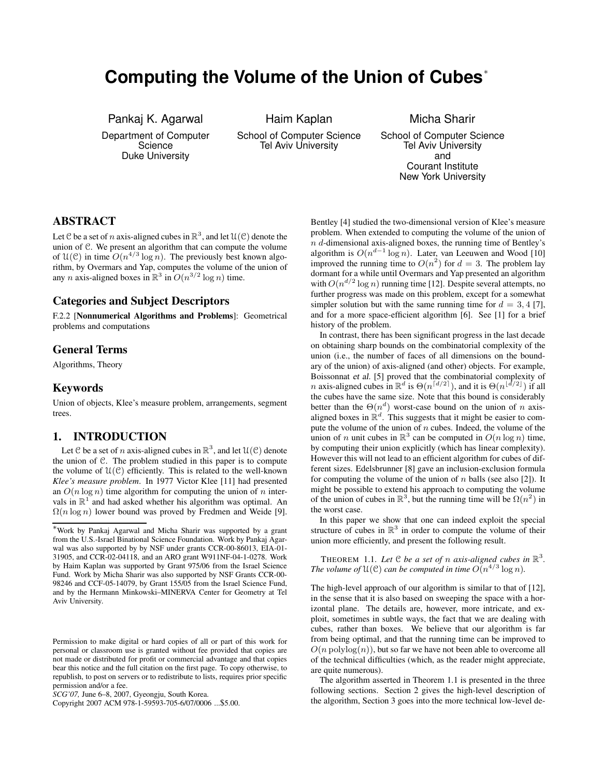# **Computing the Volume of the Union of Cubes**<sup>∗</sup>

Pankaj K. Agarwal Department of Computer

**Science** Duke University

Haim Kaplan School of Computer Science Tel Aviv University

Micha Sharir School of Computer Science Tel Aviv University and Courant Institute New York University

# **ABSTRACT**

Let C be a set of n axis-aligned cubes in  $\mathbb{R}^3$ , and let  $\mathfrak{U}(\mathcal{C})$  denote the union of C. We present an algorithm that can compute the volume of  $\mathfrak{U}(\mathfrak{C})$  in time  $O(n^{4/3} \log n)$ . The previously best known algorithm, by Overmars and Yap, computes the volume of the union of any n axis-aligned boxes in  $\mathbb{R}^3$  in  $O(n^{3/2} \log n)$  time.

### **Categories and Subject Descriptors**

F.2.2 [**Nonnumerical Algorithms and Problems**]: Geometrical problems and computations

### **General Terms**

Algorithms, Theory

### **Keywords**

Union of objects, Klee's measure problem, arrangements, segment trees.

## **1. INTRODUCTION**

Let C be a set of *n* axis-aligned cubes in  $\mathbb{R}^3$ , and let  $\mathcal{U}(\mathcal{C})$  denote the union of C. The problem studied in this paper is to compute the volume of  $\mathcal{U}(\mathcal{C})$  efficiently. This is related to the well-known *Klee's measure problem*. In 1977 Victor Klee [11] had presented an  $O(n \log n)$  time algorithm for computing the union of n intervals in  $\mathbb{R}^1$  and had asked whether his algorithm was optimal. An  $\Omega(n \log n)$  lower bound was proved by Fredmen and Weide [9].

Copyright 2007 ACM 978-1-59593-705-6/07/0006 ...\$5.00.

Bentley [4] studied the two-dimensional version of Klee's measure problem. When extended to computing the volume of the union of n d-dimensional axis-aligned boxes, the running time of Bentley's algorithm is  $O(n^{d-1} \log n)$ . Later, van Leeuwen and Wood [10] improved the running time to  $O(n^2)$  for  $d = 3$ . The problem lay dormant for a while until Overmars and Yap presented an algorithm with  $O(n^{d/2} \log n)$  running time [12]. Despite several attempts, no further progress was made on this problem, except for a somewhat simpler solution but with the same running time for  $d = 3, 4$  [7], and for a more space-efficient algorithm [6]. See [1] for a brief history of the problem.

In contrast, there has been significant progress in the last decade on obtaining sharp bounds on the combinatorial complexity of the union (i.e., the number of faces of all dimensions on the boundary of the union) of axis-aligned (and other) objects. For example, Boissonnat et al. [5] proved that the combinatorial complexity of n axis-aligned cubes in  $\mathbb{R}^d$  is  $\Theta(n^{\lceil d/2 \rceil})$ , and it is  $\Theta(n^{\lfloor d/2 \rfloor})$  if all the cubes have the same size. Note that this bound is considerably better than the  $\Theta(n^d)$  worst-case bound on the union of n axisaligned boxes in  $\mathbb{R}^d$ . This suggests that it might be easier to compute the volume of the union of  $n$  cubes. Indeed, the volume of the union of *n* unit cubes in  $\mathbb{R}^3$  can be computed in  $O(n \log n)$  time, by computing their union explicitly (which has linear complexity). However this will not lead to an efficient algorithm for cubes of different sizes. Edelsbrunner [8] gave an inclusion-exclusion formula for computing the volume of the union of  $n$  balls (see also [2]). It might be possible to extend his approach to computing the volume of the union of cubes in  $\mathbb{R}^3$ , but the running time will be  $\Omega(n^2)$  in the worst case.

In this paper we show that one can indeed exploit the special structure of cubes in  $\mathbb{R}^3$  in order to compute the volume of their union more efficiently, and present the following result.

THEOREM 1.1. Let  $C$  be a set of n axis-aligned cubes in  $\mathbb{R}^3$ . *The volume of*  $\mathfrak{U}(\mathfrak{C})$  *can be computed in time*  $O(n^{4/3} \log n)$ *.* 

The high-level approach of our algorithm is similar to that of [12], in the sense that it is also based on sweeping the space with a horizontal plane. The details are, however, more intricate, and exploit, sometimes in subtle ways, the fact that we are dealing with cubes, rather than boxes. We believe that our algorithm is far from being optimal, and that the running time can be improved to  $O(n \text{ polylog}(n))$ , but so far we have not been able to overcome all of the technical difficulties (which, as the reader might appreciate, are quite numerous).

The algorithm asserted in Theorem 1.1 is presented in the three following sections. Section 2 gives the high-level description of the algorithm, Section 3 goes into the more technical low-level de-

<sup>∗</sup>Work by Pankaj Agarwal and Micha Sharir was supported by <sup>a</sup> grant from the U.S.-Israel Binational Science Foundation. Work by Pankaj Agarwal was also supported by by NSF under grants CCR-00-86013, EIA-01- 31905, and CCR-02-04118, and an ARO grant W911NF-04-1-0278. Work by Haim Kaplan was supported by Grant 975/06 from the Israel Science Fund. Work by Micha Sharir was also supported by NSF Grants CCR-00- 98246 and CCF-05-14079, by Grant 155/05 from the Israel Science Fund, and by the Hermann Minkowski–MINERVA Center for Geometry at Tel Aviv University.

Permission to make digital or hard copies of all or part of this work for personal or classroom use is granted without fee provided that copies are not made or distributed for profit or commercial advantage and that copies bear this notice and the full citation on the first page. To copy otherwise, to republish, to post on servers or to redistribute to lists, requires prior specific permission and/or a fee.

*SCG'07,* June 6–8, 2007, Gyeongju, South Korea.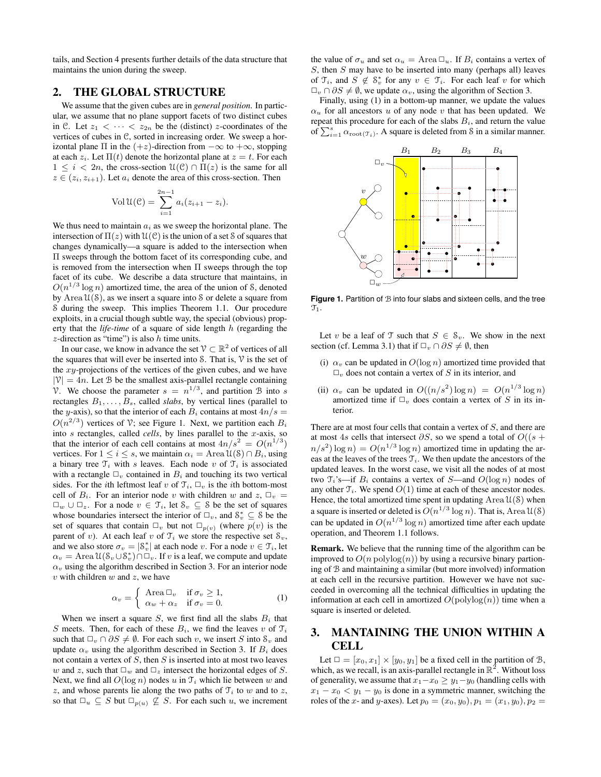tails, and Section 4 presents further details of the data structure that maintains the union during the sweep.

# **2. THE GLOBAL STRUCTURE**

We assume that the given cubes are in *general position*. In particular, we assume that no plane support facets of two distinct cubes in C. Let  $z_1 < \cdots < z_{2n}$  be the (distinct) z-coordinates of the vertices of cubes in C, sorted in increasing order. We sweep a horizontal plane  $\Pi$  in the  $(+z)$ -direction from  $-\infty$  to  $+\infty$ , stopping at each  $z_i$ . Let  $\Pi(t)$  denote the horizontal plane at  $z = t$ . For each  $1 \leq i < 2n$ , the cross-section  $\mathcal{U}(\mathcal{C}) \cap \Pi(z)$  is the same for all  $z \in (z_i, z_{i+1})$ . Let  $a_i$  denote the area of this cross-section. Then

$$
Vol\,\mathfrak{U}(\mathfrak{C}) = \sum_{i=1}^{2n-1} a_i (z_{i+1} - z_i).
$$

We thus need to maintain  $a_i$  as we sweep the horizontal plane. The intersection of  $\Pi(z)$  with  $\mathcal{U}(\mathcal{C})$  is the union of a set S of squares that changes dynamically—a square is added to the intersection when Π sweeps through the bottom facet of its corresponding cube, and is removed from the intersection when  $\Pi$  sweeps through the top facet of its cube. We describe a data structure that maintains, in  $O(n^{1/3} \log n)$  amortized time, the area of the union of S, denoted by Area  $\mathcal{U}(\mathcal{S})$ , as we insert a square into S or delete a square from S during the sweep. This implies Theorem 1.1. Our procedure exploits, in a crucial though subtle way, the special (obvious) property that the *life-time* of a square of side length h (regarding the  $z$ -direction as "time") is also  $h$  time units.

In our case, we know in advance the set  $\mathcal{V} \subset \mathbb{R}^2$  of vertices of all the squares that will ever be inserted into S. That is,  $V$  is the set of the  $xy$ -projections of the vertices of the given cubes, and we have  $|\mathcal{V}| = 4n$ . Let B be the smallest axis-parallel rectangle containing V. We choose the parameter  $s = n^{1/3}$ , and partition B into s rectangles  $B_1, \ldots, B_s$ , called *slabs*, by vertical lines (parallel to the y-axis), so that the interior of each  $B_i$  contains at most  $4n/s =$  $O(n^{2/3})$  vertices of V; see Figure 1. Next, we partition each  $B_i$ into s rectangles, called *cells*, by lines parallel to the x-axis, so that the interior of each cell contains at most  $4n/s^2 = O(n^{1/3})$ vertices. For  $1 \le i \le s$ , we maintain  $\alpha_i = \text{Area } \mathfrak{U}(s) \cap B_i$ , using a binary tree  $\mathcal{T}_i$  with s leaves. Each node v of  $\mathcal{T}_i$  is associated with a rectangle  $\Box_v$  contained in  $B_i$  and touching its two vertical sides. For the *i*th leftmost leaf v of  $\mathcal{T}_i$ ,  $\Box_v$  is the *i*th bottom-most cell of  $B_i$ . For an interior node v with children w and  $z$ ,  $\Box_v$  =  $\Box_w \cup \Box_z$ . For a node  $v \in \mathcal{T}_i$ , let  $\mathcal{S}_v \subseteq \mathcal{S}$  be the set of squares whose boundaries intersect the interior of  $\Box_v$ , and  $S_v^* \subseteq S$  be the set of squares that contain  $\Box_v$  but not  $\Box_{p(v)}$  (where  $p(v)$  is the parent of v). At each leaf v of  $\mathcal{T}_i$  we store the respective set  $\mathcal{S}_v$ , and we also store  $\sigma_v = |S_v^*|$  at each node  $v$ . For a node  $v \in \mathfrak{T}_i$ , let  $\alpha_v = \text{Area } \mathfrak{U}(\mathcal{S}_v \cup \mathcal{S}_v^*) \cap \Box_v$ . If v is a leaf, we compute and update  $\alpha_v$  using the algorithm described in Section 3. For an interior node  $v$  with children  $w$  and  $z$ , we have

$$
\alpha_v = \begin{cases}\n\text{Area } \Box_v & \text{if } \sigma_v \ge 1, \\
\alpha_w + \alpha_z & \text{if } \sigma_v = 0.\n\end{cases}
$$
\n(1)

When we insert a square S, we first find all the slabs  $B_i$  that S meets. Then, for each of these  $B_i$ , we find the leaves v of  $\mathfrak{T}_i$ such that  $\Box_{v} \cap \partial S \neq \emptyset$ . For each such v, we insert S into  $S_v$  and update  $\alpha_v$  using the algorithm described in Section 3. If  $B_i$  does not contain a vertex of  $S$ , then  $S$  is inserted into at most two leaves w and z, such that  $\Box_w$  and  $\Box_z$  intersect the horizontal edges of S. Next, we find all  $O(\log n)$  nodes u in  $\mathcal{T}_i$  which lie between w and z, and whose parents lie along the two paths of  $\mathcal{T}_i$  to w and to z, so that  $\Box_u \subseteq S$  but  $\Box_{p(u)} \nsubseteq S$ . For each such u, we increment the value of  $\sigma_u$  and set  $\alpha_u = \text{Area} \square_u$ . If  $B_i$  contains a vertex of  $S$ , then  $S$  may have to be inserted into many (perhaps all) leaves of  $\mathfrak{T}_i$ , and  $S \notin \mathcal{S}_v^*$  for any  $v \in \mathcal{T}_i$ . For each leaf v for which  $\Box_v \cap \partial S \neq \emptyset$ , we update  $\alpha_v$ , using the algorithm of Section 3.

Finally, using (1) in a bottom-up manner, we update the values  $\alpha_u$  for all ancestors u of any node v that has been updated. We repeat this procedure for each of the slabs  $B_i$ , and return the value of  $\sum_{i=1}^{s} \alpha_{\text{root}(\mathcal{T}_i)}$ . A square is deleted from S in a similar manner.



**Figure 1.** Partition of  $B$  into four slabs and sixteen cells, and the tree  $\mathfrak{T}_1$  .

Let v be a leaf of T such that  $S \in \mathcal{S}_v$ . We show in the next section (cf. Lemma 3.1) that if  $\Box_v \cap \partial S \neq \emptyset$ , then

- (i)  $\alpha_v$  can be updated in  $O(\log n)$  amortized time provided that  $\Box_{v}$  does not contain a vertex of S in its interior, and
- (ii)  $\alpha_v$  can be updated in  $O((n/s^2) \log n) = O(n^{1/3} \log n)$ amortized time if  $\Box_v$  does contain a vertex of S in its interior.

There are at most four cells that contain a vertex of S, and there are at most 4s cells that intersect  $\partial S$ , so we spend a total of  $O((s +$  $n/s^2$ ) log  $n$ ) =  $O(n^{1/3} \log n)$  amortized time in updating the areas at the leaves of the trees  $\mathcal{T}_i$ . We then update the ancestors of the updated leaves. In the worst case, we visit all the nodes of at most two  $\mathfrak{T}_i$ 's—if  $B_i$  contains a vertex of S—and  $O(\log n)$  nodes of any other  $\mathcal{T}_i$ . We spend  $O(1)$  time at each of these ancestor nodes. Hence, the total amortized time spent in updating  $Area U(S)$  when a square is inserted or deleted is  $O(n^{1/3} \log n)$ . That is, Area  $\mathfrak{U}(\mathcal{S})$ can be updated in  $O(n^{1/3} \log n)$  amortized time after each update operation, and Theorem 1.1 follows.

**Remark.** We believe that the running time of the algorithm can be improved to  $O(n \text{ polylog}(n))$  by using a recursive binary partioning of B and maintaining a similar (but more involved) information at each cell in the recursive partition. However we have not succeeded in overcoming all the technical difficulties in updating the information at each cell in amortized  $O(polylog(n))$  time when a square is inserted or deleted.

# **3. MANTAINING THE UNION WITHIN A CELL**

Let  $\square = [x_0, x_1] \times [y_0, y_1]$  be a fixed cell in the partition of  $\mathcal{B}$ , which, as we recall, is an axis-parallel rectangle in  $\mathbb{R}^2$ . Without loss of generality, we assume that  $x_1-x_0 \geq y_1-y_0$  (handling cells with  $x_1 - x_0 < y_1 - y_0$  is done in a symmetric manner, switching the roles of the x- and y-axes). Let  $p_0 = (x_0, y_0), p_1 = (x_1, y_0), p_2 =$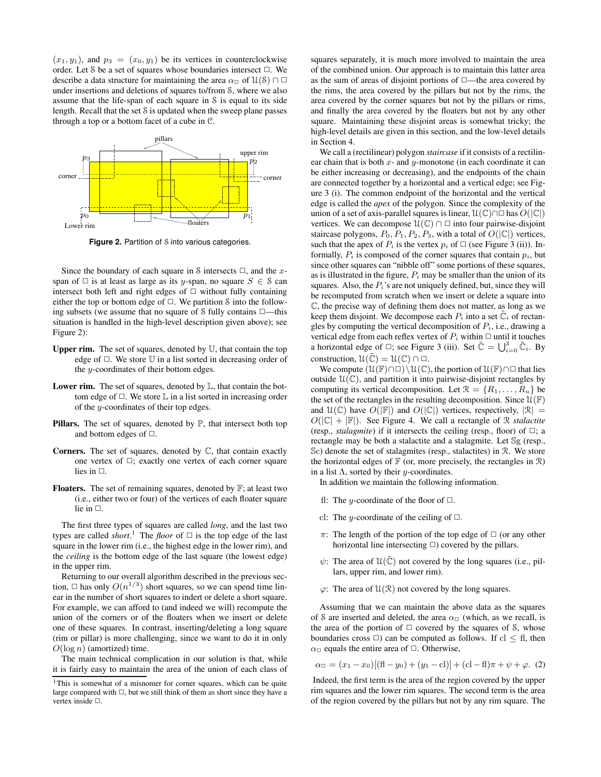$(x_1, y_1)$ , and  $p_3 = (x_0, y_1)$  be its vertices in counterclockwise order. Let S be a set of squares whose boundaries intersect  $\Box$ . We describe a data structure for maintaining the area  $\alpha$ <sup> $\alpha$ </sup> of  $\mathcal{U}(\mathcal{S}) \cap \Box$ under insertions and deletions of squares to/from S, where we also assume that the life-span of each square in S is equal to its side length. Recall that the set S is updated when the sweep plane passes through a top or a bottom facet of a cube in C.



**Figure 2.** Partition of S into various categories.

Since the boundary of each square in S intersects  $\Box$ , and the xspan of  $\Box$  is at least as large as its y-span, no square  $S \in \mathcal{S}$  can intersect both left and right edges of  $\Box$  without fully containing either the top or bottom edge of  $\Box$ . We partition S into the following subsets (we assume that no square of  $S$  fully contains  $\square$ —this situation is handled in the high-level description given above); see Figure 2):

- **Upper rim.** The set of squares, denoted by U, that contain the top edge of  $\Box$ . We store  $\mathbb U$  in a list sorted in decreasing order of the y-coordinates of their bottom edges.
- **Lower rim.** The set of squares, denoted by L, that contain the bottom edge of  $\Box$ . We store  $\mathbb L$  in a list sorted in increasing order of the y-coordinates of their top edges.
- **Pillars.** The set of squares, denoted by  $\mathbb{P}$ , that intersect both top and bottom edges of  $\Box$ .
- **Corners.** The set of squares, denoted by C, that contain exactly one vertex of  $\Box$ ; exactly one vertex of each corner square lies in  $\Box$ .
- **Floaters.** The set of remaining squares, denoted by F; at least two (i.e., either two or four) of the vertices of each floater square lie in  $\Box$ .

The first three types of squares are called *long*, and the last two types are called *short*.<sup>1</sup> The *floor* of  $\Box$  is the top edge of the last square in the lower rim (i.e., the highest edge in the lower rim), and the *ceiling* is the bottom edge of the last square (the lowest edge) in the upper rim.

Returning to our overall algorithm described in the previous section,  $\Box$  has only  $O(n^{1/3})$  short squares, so we can spend time linear in the number of short squares to indert or delete a short square. For example, we can afford to (and indeed we will) recompute the union of the corners or of the floaters when we insert or delete one of these squares. In contrast, inserting/deleting a long square (rim or pillar) is more challenging, since we want to do it in only  $O(\log n)$  (amortized) time.

The main technical complication in our solution is that, while it is fairly easy to maintain the area of the union of each class of squares separately, it is much more involved to maintain the area of the combined union. Our approach is to maintain this latter area as the sum of areas of disjoint portions of  $\Box$ —the area covered by the rims, the area covered by the pillars but not by the rims, the area covered by the corner squares but not by the pillars or rims, and finally the area covered by the floaters but not by any other square. Maintaining these disjoint areas is somewhat tricky; the high-level details are given in this section, and the low-level details in Section 4.

We call a (rectilinear) polygon *staircase* if it consists of a rectilinear chain that is both  $x$ - and  $y$ -monotone (in each coordinate it can be either increasing or decreasing), and the endpoints of the chain are connected together by a horizontal and a vertical edge; see Figure 3 (i). The common endpoint of the horizontal and the vertical edge is called the *apex* of the polygon. Since the complexity of the union of a set of axis-parallel squares is linear,  $\mathcal{U}(\mathbb{C}) \cap \Box$  has  $O(|\mathbb{C}|)$ vertices. We can decompose  $\mathcal{U}(\mathbb{C}) \cap \square$  into four pairwise-disjoint staircase polygons,  $P_0$ ,  $P_1$ ,  $P_2$ ,  $P_3$ , with a total of  $O(|\mathbb{C}|)$  vertices, such that the apex of  $P_i$  is the vertex  $p_i$  of  $\Box$  (see Figure 3 (ii)). Informally,  $P_i$  is composed of the corner squares that contain  $p_i$ , but since other squares can "nibble off" some portions of these squares, as is illustrated in the figure,  $P_i$  may be smaller than the union of its squares. Also, the  $P_i$ 's are not uniquely defined, but, since they will be recomputed from scratch when we insert or delete a square into C, the precise way of defining them does not matter, as long as we keep them disjoint. We decompose each  $P_i$  into a set  $\mathbb{C}_i$  of rectangles by computing the vertical decomposition of  $P_i$ , i.e., drawing a vertical edge from each reflex vertex of  $P_i$  within  $\Box$  until it touches a horizontal edge of  $\Box$ ; see Figure 3 (iii). Set  $\tilde{\mathbb{C}} = \bigcup_{i=0}^{3} \tilde{\mathbb{C}}_i$ . By construction,  $\mathcal{U}(\tilde{\mathbb{C}}) = \mathcal{U}(\mathbb{C}) \cap \square$ .

We compute  $(\mathcal{U}(\mathbb{F})\cap\square)\setminus\mathcal{U}(\mathbb{C})$ , the portion of  $\mathcal{U}(\mathbb{F})\cap\square$  that lies outside  $\mathcal{U}(\mathbb{C})$ , and partition it into pairwise-disjoint rectangles by computing its vertical decomposition. Let  $\mathcal{R} = \{R_1, \ldots, R_u\}$  be the set of the rectangles in the resulting decomposition. Since  $\mathcal{U}(\mathbb{F})$ and  $\mathcal{U}(\mathbb{C})$  have  $O(|\mathbb{F}|)$  and  $O(|\mathbb{C}|)$  vertices, respectively,  $|\mathcal{R}| =$  $O(|\mathbb{C}| + |\mathbb{F}|)$ . See Figure 4. We call a rectangle of R *stalactite* (resp., *stalagmite*) if it intersects the ceiling (resp., floor) of  $\Box$ ; a rectangle may be both a stalactite and a stalagmite. Let Sg (resp., Sc) denote the set of stalagmites (resp., stalactites) in R. We store the horizontal edges of  $\mathbb F$  (or, more precisely, the rectangles in  $\mathcal R$ ) in a list  $\Lambda$ , sorted by their *y*-coordinates.

- In addition we maintain the following information.
- fl: The *y*-coordinate of the floor of  $\Box$ .
- cl: The y-coordinate of the ceiling of  $\Box$ .
- $\pi$ : The length of the portion of the top edge of  $\Box$  (or any other horizontal line intersecting  $\Box$ ) covered by the pillars.
- $\psi$ : The area of  $\mathfrak{U}(\tilde{\mathbb{C}})$  not covered by the long squares (i.e., pillars, upper rim, and lower rim).
- $\varphi$ : The area of  $\mathcal{U}(\mathcal{R})$  not covered by the long squares.

Assuming that we can maintain the above data as the squares of S are inserted and deleted, the area  $\alpha_{\square}$  (which, as we recall, is the area of the portion of  $\Box$  covered by the squares of S, whose boundaries cross  $\Box$ ) can be computed as follows. If cl  $\leq$  fl, then  $\alpha_{\square}$  equals the entire area of  $\square$ . Otherwise,

$$
\alpha_{\mathbb{D}} = (x_1 - x_0)[(\mathbf{fl} - y_0) + (y_1 - \mathbf{cl})] + (\mathbf{cl} - \mathbf{fl})\pi + \psi + \varphi. (2)
$$

Indeed, the first term is the area of the region covered by the upper rim squares and the lower rim squares. The second term is the area of the region covered by the pillars but not by any rim square. The

<sup>&</sup>lt;sup>1</sup>This is somewhat of a misnomer for corner squares, which can be quite large compared with  $\Box$ , but we still think of them as short since they have a vertex inside  $\Box$ .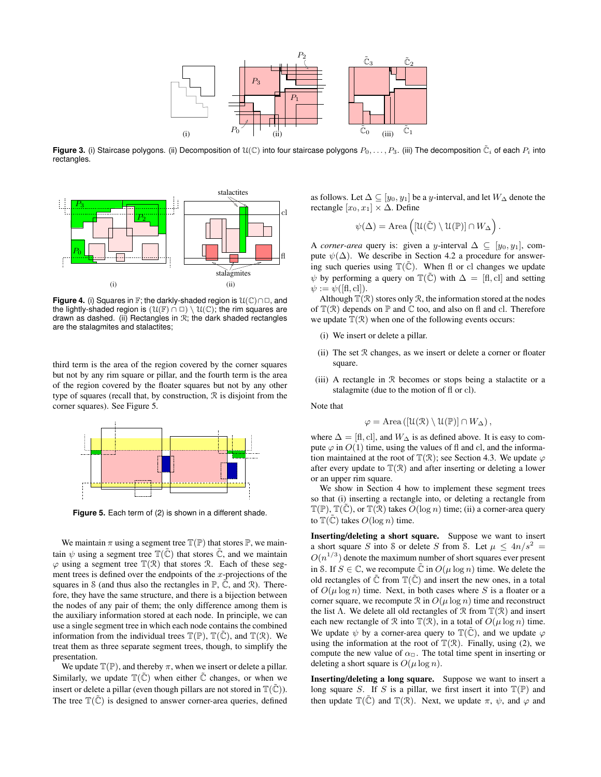

**Figure 3.** (i) Staircase polygons. (ii) Decomposition of  $\mathfrak{U}(\mathbb{C})$  into four staircase polygons  $P_0,\ldots,P_3$ . (iii) The decomposition  $\tilde{\mathbb{C}}_i$  of each  $P_i$  into rectangles.



**Figure 4.** (i) Squares in F; the darkly-shaded region is  $\mathcal{U}(\mathbb{C}) \cap \Box$ , and the lightly-shaded region is  $(\mathcal{U}(\mathbb{F}) \cap \square) \setminus \mathcal{U}(\mathbb{C})$ ; the rim squares are drawn as dashed. (ii) Rectangles in  $\mathcal{R}$ ; the dark shaded rectangles are the stalagmites and stalactites;

third term is the area of the region covered by the corner squares but not by any rim square or pillar, and the fourth term is the area of the region covered by the floater squares but not by any other type of squares (recall that, by construction, R is disjoint from the corner squares). See Figure 5.



**Figure 5.** Each term of (2) is shown in a different shade.

We maintain  $\pi$  using a segment tree  $\mathbb{T}(\mathbb{P})$  that stores  $\mathbb{P}$ , we maintain  $\psi$  using a segment tree  $\mathbb{T}(\tilde{\mathbb{C}})$  that stores  $\tilde{\mathbb{C}}$ , and we maintain  $\varphi$  using a segment tree  $\mathbb{T}(\mathcal{R})$  that stores  $\mathcal{R}$ . Each of these segment trees is defined over the endpoints of the  $x$ -projections of the squares in S (and thus also the rectangles in  $\mathbb{P}, \mathbb{C}$ , and  $\mathbb{R}$ ). Therefore, they have the same structure, and there is a bijection between the nodes of any pair of them; the only difference among them is the auxiliary information stored at each node. In principle, we can use a single segment tree in which each node contains the combined information from the individual trees  $\mathbb{T}(\mathbb{P})$ ,  $\mathbb{T}(\tilde{\mathbb{C}})$ , and  $\mathbb{T}(\mathcal{R})$ . We treat them as three separate segment trees, though, to simplify the presentation.

We update  $\mathbb{T}(\mathbb{P})$ , and thereby  $\pi$ , when we insert or delete a pillar. Similarly, we update  $\mathbb{T}(\tilde{\mathbb{C}})$  when either  $\tilde{\mathbb{C}}$  changes, or when we insert or delete a pillar (even though pillars are not stored in  $\mathbb{T}(\tilde{\mathbb{C}})$ ). The tree  $\mathbb{T}(\tilde{\mathbb{C}})$  is designed to answer corner-area queries, defined

as follows. Let  $\Delta \subseteq [y_0, y_1]$  be a y-interval, and let  $W_{\Delta}$  denote the rectangle  $[x_0, x_1] \times \Delta$ . Define

$$
\psi(\Delta) = \text{Area}\left([\mathfrak{U}(\tilde{\mathbb{C}}) \setminus \mathfrak{U}(\mathbb{P})] \cap W_{\Delta}\right).
$$

A *corner-area* query is: given a y-interval  $\Delta \subseteq [y_0, y_1]$ , compute  $\psi(\Delta)$ . We describe in Section 4.2 a procedure for answering such queries using  $\mathbb{T}(\tilde{\mathbb{C}})$ . When fl or cl changes we update  $\psi$  by performing a query on  $\mathbb{T}(\tilde{\mathbb{C}})$  with  $\Delta = [\text{fl, cl}]$  and setting  $\psi := \psi([f, c]],$ 

Although  $\mathbb{T}(\mathcal{R})$  stores only  $\mathcal{R}$ , the information stored at the nodes of  $\mathbb{T}(\mathcal{R})$  depends on  $\mathbb P$  and  $\mathbb C$  too, and also on fl and cl. Therefore we update  $\mathbb{T}(\mathcal{R})$  when one of the following events occurs:

- (i) We insert or delete a pillar.
- (ii) The set R changes, as we insert or delete a corner or floater square.
- (iii) A rectangle in R becomes or stops being a stalactite or a stalagmite (due to the motion of fl or cl).

Note that

$$
\varphi = \text{Area}\left(\left[\mathcal{U}(\mathcal{R}) \setminus \mathcal{U}(\mathbb{P})\right] \cap W_{\Delta}\right),
$$

where  $\Delta = [\text{fl}, \text{cl}]$ , and  $W_{\Delta}$  is as defined above. It is easy to compute  $\varphi$  in  $O(1)$  time, using the values of fl and cl, and the information maintained at the root of  $\mathbb{T}(\mathcal{R})$ ; see Section 4.3. We update  $\varphi$ after every update to  $\mathbb{T}(\mathcal{R})$  and after inserting or deleting a lower or an upper rim square.

We show in Section 4 how to implement these segment trees so that (i) inserting a rectangle into, or deleting a rectangle from  $\mathbb{T}(\mathbb{P})$ ,  $\mathbb{T}(\mathbb{C})$ , or  $\mathbb{T}(\mathbb{R})$  takes  $O(\log n)$  time; (ii) a corner-area query to  $\mathbb{T}(\mathbb{C})$  takes  $O(\log n)$  time.

**Inserting/deleting a short square.** Suppose we want to insert a short square S into S or delete S from S. Let  $\mu \leq 4n/s^2 =$  $O(n^{1/3})$  denote the maximum number of short squares ever present in S. If  $S \in \mathbb{C}$ , we recompute  $\tilde{\mathbb{C}}$  in  $O(\mu \log n)$  time. We delete the old rectangles of  $\tilde{\mathbb{C}}$  from  $\mathbb{T}(\tilde{\mathbb{C}})$  and insert the new ones, in a total of  $O(\mu \log n)$  time. Next, in both cases where S is a floater or a corner square, we recompute  $\Re$  in  $O(\mu \log n)$  time and reconstruct the list  $\Lambda$ . We delete all old rectangles of  $\mathcal R$  from  $\mathbb T(\mathcal R)$  and insert each new rectangle of  $\mathcal R$  into  $\mathbb T(\mathcal R)$ , in a total of  $O(\mu \log n)$  time. We update  $\psi$  by a corner-area query to  $\mathbb{T}(\tilde{\mathbb{C}})$ , and we update  $\varphi$ using the information at the root of  $\mathbb{T}(\mathcal{R})$ . Finally, using (2), we compute the new value of  $\alpha_{\Box}$ . The total time spent in inserting or deleting a short square is  $O(\mu \log n)$ .

**Inserting/deleting a long square.** Suppose we want to insert a long square S. If S is a pillar, we first insert it into  $\mathbb{T}(\mathbb{P})$  and then update  $\mathbb{T}(\tilde{\mathbb{C}})$  and  $\mathbb{T}(\mathbb{R})$ . Next, we update  $\pi$ ,  $\psi$ , and  $\varphi$  and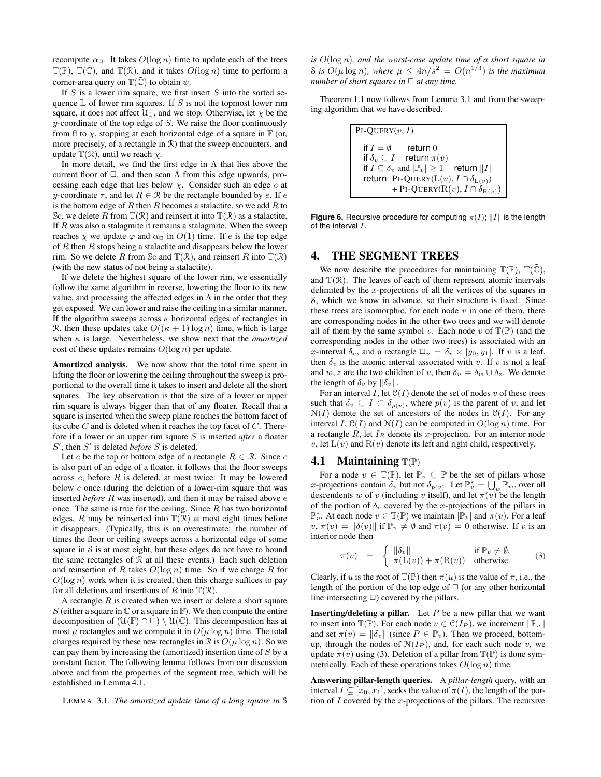recompute  $\alpha_{\Box}$ . It takes  $O(\log n)$  time to update each of the trees  $\mathbb{T}(\mathbb{P})$ ,  $\mathbb{T}(\tilde{\mathbb{C}})$ , and  $\mathbb{T}(\mathcal{R})$ , and it takes  $O(\log n)$  time to perform a corner-area query on  $\mathbb{T}(\tilde{\mathbb{C}})$  to obtain  $\psi$ .

If  $S$  is a lower rim square, we first insert  $S$  into the sorted sequence  $\mathbb L$  of lower rim squares. If S is not the topmost lower rim square, it does not affect  $\mathcal{U}_{\Box}$ , and we stop. Otherwise, let  $\chi$  be the  $y$ -coordinate of the top edge of  $S$ . We raise the floor continuously from fl to  $\chi$ , stopping at each horizontal edge of a square in  $\mathbb F$  (or, more precisely, of a rectangle in R) that the sweep encounters, and update  $\mathbb{T}(\mathcal{R})$ , until we reach  $\chi$ .

In more detail, we find the first edge in  $\Lambda$  that lies above the current floor of  $\Box$ , and then scan  $\Lambda$  from this edge upwards, processing each edge that lies below  $\chi$ . Consider such an edge e at y-coordinate  $\tau$ , and let  $R \in \mathcal{R}$  be the rectangle bounded by e. If e is the bottom edge of  $R$  then  $R$  becomes a stalactite, so we add  $R$  to Sc, we delete R from  $\mathbb{T}(\mathcal{R})$  and reinsert it into  $\mathbb{T}(\mathcal{R})$  as a stalactite. If  $R$  was also a stalagmite it remains a stalagmite. When the sweep reaches  $\chi$  we update  $\varphi$  and  $\alpha_{\Box}$  in  $O(1)$  time. If e is the top edge of  $R$  then  $R$  stops being a stalactite and disappears below the lower rim. So we delete R from Sc and  $\mathbb{T}(\mathcal{R})$ , and reinsert R into  $\mathbb{T}(\mathcal{R})$ (with the new status of not being a stalactite).

If we delete the highest square of the lower rim, we essentially follow the same algorithm in reverse, lowering the floor to its new value, and processing the affected edges in  $\Lambda$  in the order that they get exposed. We can lower and raise the ceiling in a similar manner. If the algorithm sweeps across  $\kappa$  horizontal edges of rectangles in R, then these updates take  $O((\kappa + 1) \log n)$  time, which is large when κ is large. Nevertheless, we show next that the *amortized* cost of these updates remains  $O(\log n)$  per update.

**Amortized analysis.** We now show that the total time spent in lifting the floor or lowering the ceiling throughout the sweep is proportional to the overall time it takes to insert and delete all the short squares. The key observation is that the size of a lower or upper rim square is always bigger than that of any floater. Recall that a square is inserted when the sweep plane reaches the bottom facet of its cube  $C$  and is deleted when it reaches the top facet of  $C$ . Therefore if a lower or an upper rim square S is inserted *after* a floater  $S'$ , then  $S'$  is deleted *before*  $S$  is deleted.

Let *e* be the top or bottom edge of a rectangle  $R \in \mathcal{R}$ . Since *e* is also part of an edge of a floater, it follows that the floor sweeps across  $e$ , before  $R$  is deleted, at most twice: It may be lowered below e once (during the deletion of a lower-rim square that was inserted *before* R was inserted), and then it may be raised above e once. The same is true for the ceiling. Since  $R$  has two horizontal edges,  $R$  may be reinserted into  $\mathbb{T}(\mathcal{R})$  at most eight times before it disappears. (Typically, this is an overestimate: the number of times the floor or ceiling sweeps across a horizontal edge of some square in S is at most eight, but these edges do not have to bound the same rectangles of  $R$  at all these events.) Each such deletion and reinsertion of R takes  $O(\log n)$  time. So if we charge R for  $O(\log n)$  work when it is created, then this charge suffices to pay for all deletions and insertions of R into  $\mathbb{T}(\mathcal{R})$ .

A rectangle  $R$  is created when we insert or delete a short square S (either a square in  $\mathbb C$  or a square in  $\mathbb F$ ). We then compute the entire decomposition of  $(\mathcal{U}(\mathbb{F}) \cap \square) \setminus \mathcal{U}(\mathbb{C})$ . This decomposition has at most  $\mu$  rectangles and we compute it in  $O(\mu \log n)$  time. The total charges required by these new rectangles in  $\mathcal R$  is  $O(\mu \log n)$ . So we can pay them by increasing the (amortized) insertion time of  $S$  by a constant factor. The following lemma follows from our discussion above and from the properties of the segment tree, which will be established in Lemma 4.1.

LEMMA 3.1. *The amortized update time of a long square in* S

*is* O(log n)*, and the worst-case update time of a short square in* S is  $O(\mu \log n)$ , where  $\mu \leq 4n/s^2 = O(n^{1/3})$  is the maximum *number of short squares in*  $\Box$  *at any time.* 

Theorem 1.1 now follows from Lemma 3.1 and from the sweeping algorithm that we have described.

| $PI-QUERY(v, I)$                                                     |
|----------------------------------------------------------------------|
| if $I = \emptyset$<br>return $0$                                     |
| if $\delta_v \subseteq I$ return $\pi(v)$                            |
| if $I \subseteq \delta_v$ and $ \mathbb{P}_v  \geq 1$ return $  I  $ |
| return PI-QUERY( $L(v)$ , $I \cap \delta_{L(v)}$ )                   |
| + PI-QUERY( $R(v)$ , $I \cap \delta_{R(v)}$ )                        |

**Figure 6.** Recursive procedure for computing  $\pi(I)$ ;  $||I||$  is the length of the interval I.

### **4. THE SEGMENT TREES**

We now describe the procedures for maintaining  $\mathbb{T}(\mathbb{P})$ ,  $\mathbb{T}(\tilde{\mathbb{C}})$ , and  $\mathbb{T}(\mathcal{R})$ . The leaves of each of them represent atomic intervals delimited by the x-projections of all the vertices of the squares in S, which we know in advance, so their structure is fixed. Since these trees are isomorphic, for each node  $v$  in one of them, there are corresponding nodes in the other two trees and we will denote all of them by the same symbol v. Each node v of  $\mathbb{T}(\mathbb{P})$  (and the corresponding nodes in the other two trees) is associated with an x-interval  $\delta_v$ , and a rectangle  $\Box_v = \delta_v \times [y_0, y_1]$ . If v is a leaf, then  $\delta_v$  is the atomic interval associated with v. If v is not a leaf and w, z are the two children of v, then  $\delta_v = \delta_w \cup \delta_z$ . We denote the length of  $\delta_v$  by  $\|\delta_v\|$ .

For an interval I, let  $C(I)$  denote the set of nodes v of these trees such that  $\delta_v \subseteq I \subset \delta_{p(v)}$ , where  $p(v)$  is the parent of v, and let  $N(I)$  denote the set of ancestors of the nodes in  $C(I)$ . For any interval I,  $\mathfrak{C}(I)$  and  $\mathfrak{N}(I)$  can be computed in  $O(\log n)$  time. For a rectangle  $R$ , let  $I_R$  denote its x-projection. For an interior node v, let  $L(v)$  and  $R(v)$  denote its left and right child, respectively.

#### **4.1 Maintaining** T(P)

For a node  $v \in \mathbb{T}(\mathbb{P})$ , let  $\mathbb{P}_v \subseteq \mathbb{P}$  be the set of pillars whose x-projections contain  $\delta_v$  but not  $\delta_{p(v)}$ . Let  $\mathbb{P}_v^* = \bigcup_w \mathbb{P}_w$ , over all descendents w of v (including v itself), and let  $\pi(v)$  be the length of the portion of  $\delta_v$  covered by the x-projections of the pillars in  $\mathbb{P}_v^*$ . At each node  $v \in \mathbb{T}(\mathbb{P})$  we maintain  $|\mathbb{P}_v|$  and  $\pi(v)$ . For a leaf  $v, \pi(v) = ||\delta(v)||$  if  $\mathbb{P}_v \neq \emptyset$  and  $\pi(v) = 0$  otherwise. If v is an interior node then

$$
\pi(v) = \begin{cases} \|\delta_v\| & \text{if } \mathbb{P}_v \neq \emptyset, \\ \pi(\mathcal{L}(v)) + \pi(\mathcal{R}(v)) & \text{otherwise.} \end{cases}
$$
 (3)

Clearly, if u is the root of  $\mathbb{T}(\mathbb{P})$  then  $\pi(u)$  is the value of  $\pi$ , i.e., the length of the portion of the top edge of  $\Box$  (or any other horizontal line intersecting  $\Box$ ) covered by the pillars.

**Inserting/deleting a pillar.** Let P be a new pillar that we want to insert into  $\mathbb{T}(\mathbb{P})$ . For each node  $v \in \mathcal{C}(I_P)$ , we increment  $\|\mathbb{P}_v\|$ and set  $\pi(v) = \|\delta_v\|$  (since  $P \in \mathbb{P}_v$ ). Then we proceed, bottomup, through the nodes of  $N(I_P)$ , and, for each such node v, we update  $\pi(v)$  using (3). Deletion of a pillar from  $\mathbb{T}(\mathbb{P})$  is done symmetrically. Each of these operations takes  $O(\log n)$  time.

**Answering pillar-length queries.** A *pillar-length* query, with an interval  $I \subseteq [x_0, x_1]$ , seeks the value of  $\pi(I)$ , the length of the portion of  $I$  covered by the x-projections of the pillars. The recursive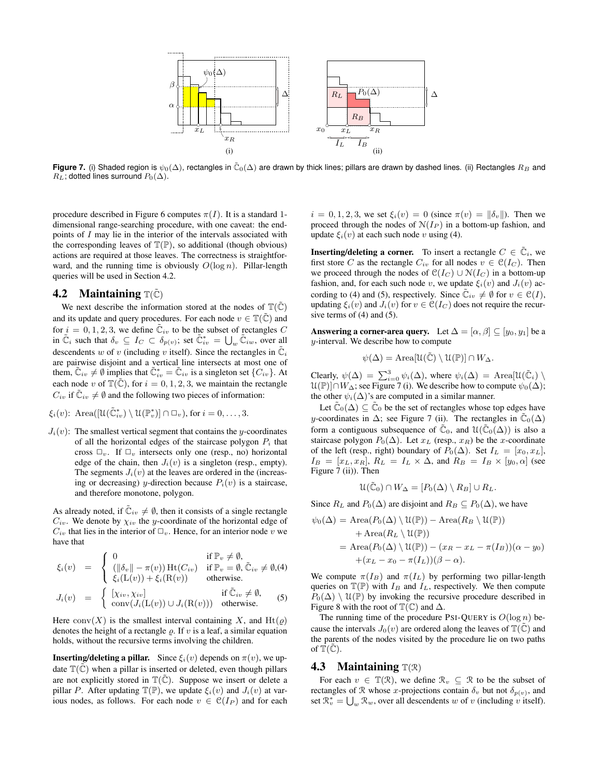

**Figure 7.** (i) Shaded region is  $\psi_0(\Delta)$ , rectangles in  $\tilde{\mathbb{C}}_0(\Delta)$  are drawn by thick lines; pillars are drawn by dashed lines. (ii) Rectangles  $R_B$  and  $R_L$ ; dotted lines surround  $P_0(\Delta)$ .

procedure described in Figure 6 computes  $\pi(I)$ . It is a standard 1dimensional range-searching procedure, with one caveat: the endpoints of I may lie in the interior of the intervals associated with the corresponding leaves of  $\mathbb{T}(\mathbb{P})$ , so additional (though obvious) actions are required at those leaves. The correctness is straightforward, and the running time is obviously  $O(\log n)$ . Pillar-length queries will be used in Section 4.2.

#### **4.2 Maintaining**  $\mathbb{T}(\tilde{\mathbb{C}})$

We next describe the information stored at the nodes of  $\mathbb{T}(\tilde{\mathbb{C}})$ and its update and query procedures. For each node  $v \in \mathbb{T}(\tilde{\mathbb{C}})$  and for  $i = 0, 1, 2, 3$ , we define  $\tilde{\mathbb{C}}_{iv}$  to be the subset of rectangles C in  $\tilde{\mathbb{C}}_i$  such that  $\delta_v \subseteq I_C \subset \delta_{p(v)}$ ; set  $\tilde{\mathbb{C}}_{iv}^* = \bigcup_w \tilde{\mathbb{C}}_{iw}$ , over all descendents w of v (including v itself). Since the rectangles in  $\tilde{\mathbb{C}}_i$ are pairwise disjoint and a vertical line intersects at most one of them,  $\tilde{C}_{iv} \neq \emptyset$  implies that  $\tilde{C}_{iv}^* = \tilde{C}_{iv}$  is a singleton set  $\{C_{iv}\}$ . At each node v of  $\mathbb{T}(\tilde{\mathbb{C}})$ , for  $i = 0, 1, 2, 3$ , we maintain the rectangle  $C_{iv}$  if  $\tilde{C}_{iv} \neq \emptyset$  and the following two pieces of information:

$$
\xi_i(v)
$$
: Area( $[\mathcal{U}(\tilde{\mathbb{C}}_{iv}^*) \setminus \mathcal{U}(\mathbb{P}_v^*)] \cap \square_v$ ), for  $i = 0, ..., 3$ .

 $J_i(v)$ : The smallest vertical segment that contains the y-coordinates of all the horizontal edges of the staircase polygon  $P_i$  that cross  $\Box_v$ . If  $\Box_v$  intersects only one (resp., no) horizontal edge of the chain, then  $J_i(v)$  is a singleton (resp., empty). The segments  $J_i(v)$  at the leaves are ordered in the (increasing or decreasing) y-direction because  $P_i(v)$  is a staircase, and therefore monotone, polygon.

As already noted, if  $\tilde{\mathbb{C}}_{iv} \neq \emptyset$ , then it consists of a single rectangle  $C_{iv}$ . We denote by  $\chi_{iv}$  the y-coordinate of the horizontal edge of  $C_{iv}$  that lies in the interior of  $\Box_{v}$ . Hence, for an interior node v we have that

$$
\xi_i(v) = \begin{cases}\n0 & \text{if } \mathbb{P}_v \neq \emptyset, \\
(|\delta_v| - \pi(v)) \operatorname{Ht}(C_{iv}) & \text{if } \mathbb{P}_v = \emptyset, \tilde{C}_{iv} \neq \emptyset, \\
\xi_i(L(v)) + \xi_i(R(v)) & \text{otherwise.} \n\end{cases}
$$

$$
J_i(v) = \begin{cases} [\chi_{iv}, \chi_{iv}] & \text{if } \tilde{\mathbb{C}}_{iv} \neq \emptyset, \\ \text{conv}(J_i(\mathbb{L}(v)) \cup J_i(\mathbb{R}(v))) & \text{otherwise.} \end{cases}
$$
(5)

Here conv $(X)$  is the smallest interval containing X, and Ht( $\varrho$ ) denotes the height of a rectangle  $\rho$ . If v is a leaf, a similar equation holds, without the recursive terms involving the children.

**Inserting/deleting a pillar.** Since  $\xi_i(v)$  depends on  $\pi(v)$ , we update  $\mathbb{T}(\tilde{\mathbb{C}})$  when a pillar is inserted or deleted, even though pillars are not explicitly stored in  $\mathbb{T}(\tilde{\mathbb{C}})$ . Suppose we insert or delete a pillar P. After updating  $\mathbb{T}(\mathbb{P})$ , we update  $\xi_i(v)$  and  $J_i(v)$  at various nodes, as follows. For each node  $v \in \mathcal{C}(I_P)$  and for each

 $i = 0, 1, 2, 3$ , we set  $\xi_i(v) = 0$  (since  $\pi(v) = ||\delta_v||$ ). Then we proceed through the nodes of  $N(I_P)$  in a bottom-up fashion, and update  $\xi_i(v)$  at each such node v using (4).

**Inserting/deleting a corner.** To insert a rectangle  $C \in \mathbb{C}_i$ , we first store C as the rectangle  $C_{iv}$  for all nodes  $v \in \mathcal{C}(I_C)$ . Then we proceed through the nodes of  $\mathcal{C}(I_C) \cup \mathcal{N}(I_C)$  in a bottom-up fashion, and, for each such node v, we update  $\xi_i(v)$  and  $J_i(v)$  according to (4) and (5), respectively. Since  $\mathbb{C}_{iv} \neq \emptyset$  for  $v \in \mathcal{C}(I)$ , updating  $\xi_i(v)$  and  $J_i(v)$  for  $v \in \mathfrak{C}(I_C)$  does not require the recursive terms of  $(4)$  and  $(5)$ .

**Answering a corner-area query.** Let  $\Delta = [\alpha, \beta] \subseteq [y_0, y_1]$  be a y-interval. We describe how to compute

$$
\psi(\Delta) = \text{Area}[\mathcal{U}(\tilde{\mathbb{C}}) \setminus \mathcal{U}(\mathbb{P})] \cap W_{\Delta}.
$$

Clearly,  $\psi(\Delta) = \sum_{i=0}^{3} \psi_i(\Delta)$ , where  $\psi_i(\Delta) = \text{Area}[\mathfrak{U}(\tilde{\mathbb{C}}_i) \setminus \mathfrak{U}(\tilde{\mathbb{C}}_i)]$  $\mathcal{U}(\mathbb{P})\cap W_{\Delta}$ ; see Figure 7 (i). We describe how to compute  $\psi_0(\Delta)$ ; the other  $\psi_i(\Delta)$ 's are computed in a similar manner.

Let  $\tilde{\mathbb{C}}_0(\Delta) \subseteq \tilde{\mathbb{C}}_0$  be the set of rectangles whose top edges have y-coordinates in  $\Delta$ ; see Figure 7 (ii). The rectangles in  $\mathbb{C}_0(\Delta)$ form a contiguous subsequence of  $\tilde{C}_0$ , and  $\mathcal{U}(\tilde{C}_0(\Delta))$  is also a staircase polygon  $P_0(\Delta)$ . Let  $x_L$  (resp.,  $x_R$ ) be the x-coordinate of the left (resp., right) boundary of  $P_0(\Delta)$ . Set  $I_L = [x_0, x_L]$ ,  $I_B = [x_L, x_R], R_L = I_L \times \Delta$ , and  $R_B = I_B \times [y_0, \alpha]$  (see Figure 7 (ii)). Then

$$
\mathcal{U}(\tilde{\mathbb{C}}_0) \cap W_{\Delta} = [P_0(\Delta) \setminus R_B] \cup R_L.
$$

Since  $R_L$  and  $P_0(\Delta)$  are disjoint and  $R_B \subseteq P_0(\Delta)$ , we have

$$
\psi_0(\Delta) = \text{Area}(P_0(\Delta) \setminus \mathcal{U}(\mathbb{P})) - \text{Area}(R_B \setminus \mathcal{U}(\mathbb{P})) \n+ \text{Area}(R_L \setminus \mathcal{U}(\mathbb{P})) \n= \text{Area}(P_0(\Delta) \setminus \mathcal{U}(\mathbb{P})) - (x_R - x_L - \pi(I_B))(\alpha - y_0) \n+ (x_L - x_0 - \pi(I_L))(\beta - \alpha).
$$

We compute  $\pi(I_B)$  and  $\pi(I_L)$  by performing two pillar-length queries on  $\mathbb{T}(\mathbb{P})$  with  $I_B$  and  $I_L$ , respectively. We then compute  $P_0(\Delta) \setminus \mathcal{U}(\mathbb{P})$  by invoking the recursive procedure described in Figure 8 with the root of  $\mathbb{T}(\mathbb{C})$  and  $\Delta$ .

The running time of the procedure PSI-QUERY is  $O(\log n)$  because the intervals  $J_0(v)$  are ordered along the leaves of  $\mathbb{T}(\tilde{\mathbb{C}})$  and the parents of the nodes visited by the procedure lie on two paths of  $\mathbb{T}(\mathbb{C})$ .

#### **4.3 Maintaining**  $\mathbb{T}(\mathcal{R})$

For each  $v \in \mathbb{T}(\mathcal{R})$ , we define  $\mathcal{R}_v \subseteq \mathcal{R}$  to be the subset of rectangles of R whose x-projections contain  $\delta_v$  but not  $\delta_{p(v)}$ , and set  $\mathbb{R}_{v}^{*} = \bigcup_{w} \mathbb{R}_{w}$ , over all descendents w of v (including v itself).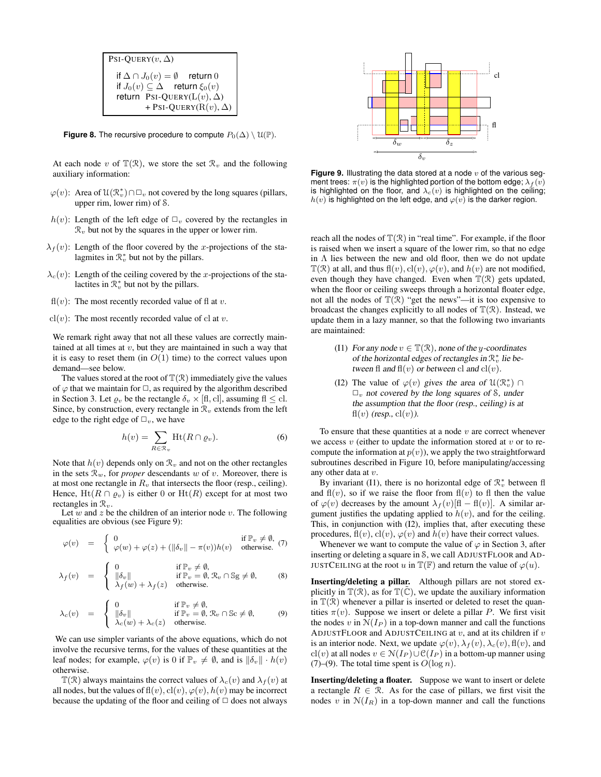```
PSI-QUERY(v, \Delta)if \Delta \cap J_0(v) = \emptyset return 0
  if J_0(v) \subseteq \Delta return \xi_0(v)return PsI-QUERY(L(v), \Delta)
            + PSI-QUERY(R(v), \Delta)
```
**Figure 8.** The recursive procedure to compute  $P_0(\Delta) \setminus \mathcal{U}(\mathbb{P})$ .

At each node v of  $\mathbb{T}(\mathcal{R})$ , we store the set  $\mathcal{R}_v$  and the following auxiliary information:

- $\varphi(v)$ : Area of  $\mathfrak{U}(\mathcal{R}_v^*) \cap \Box_v$  not covered by the long squares (pillars, upper rim, lower rim) of S.
- $h(v)$ : Length of the left edge of  $\Box_v$  covered by the rectangles in  $\mathcal{R}_v$  but not by the squares in the upper or lower rim.
- $\lambda_f(v)$ : Length of the floor covered by the x-projections of the stalagmites in  $\mathcal{R}_v^*$  but not by the pillars.
- $\lambda_c(v)$ : Length of the ceiling covered by the x-projections of the stalactites in  $\mathcal{R}_v^*$  but not by the pillars.
- $f(x)$ : The most recently recorded value of fl at v.
- $cl(v)$ : The most recently recorded value of cl at v.

We remark right away that not all these values are correctly maintained at all times at  $v$ , but they are maintained in such a way that it is easy to reset them (in  $O(1)$  time) to the correct values upon demand—see below.

The values stored at the root of  $\mathbb{T}(\mathcal{R})$  immediately give the values of  $\varphi$  that we maintain for  $\Box$ , as required by the algorithm described in Section 3. Let  $\varrho_v$  be the rectangle  $\delta_v \times [\text{fl, cl}]$ , assuming  $\text{fl} \leq \text{cl}$ . Since, by construction, every rectangle in  $\mathcal{R}_v$  extends from the left edge to the right edge of  $\Box_v$ , we have

$$
h(v) = \sum_{R \in \mathcal{R}_v} \text{Ht}(R \cap \varrho_v).
$$
 (6)

Note that  $h(v)$  depends only on  $\mathcal{R}_v$  and not on the other rectangles in the sets  $\mathcal{R}_w$ , for *proper* descendants w of v. Moreover, there is at most one rectangle in  $R_v$  that intersects the floor (resp., ceiling). Hence,  $Ht(R \cap \rho_v)$  is either 0 or  $Ht(R)$  except for at most two rectangles in  $\mathcal{R}_v$ .

Let  $\overline{w}$  and  $z$  be the children of an interior node  $v$ . The following equalities are obvious (see Figure 9):

$$
\varphi(v) = \begin{cases} 0 & \text{if } \mathbb{P}_v \neq \emptyset, \\ \varphi(w) + \varphi(z) + (\|\delta_v\| - \pi(v))h(v) & \text{otherwise.} \end{cases}
$$
 (7)

$$
\lambda_f(v) = \begin{cases} 0 & \text{if } \mathbb{P}_v \neq \emptyset, \\ \|\delta_v\| & \text{if } \mathbb{P}_v = \emptyset, \mathcal{R}_v \cap \mathbb{S} \neq \emptyset, \\ \lambda_f(w) + \lambda_f(z) & \text{otherwise.} \end{cases}
$$
 (8)

$$
\lambda_c(v) = \begin{cases} 0 & \text{if } \mathbb{P}_v \neq \emptyset, \\ \|\delta_v\| & \text{if } \mathbb{P}_v = \emptyset, \mathcal{R}_v \cap \mathbb{S}c \neq \emptyset, \\ \lambda_c(w) + \lambda_c(z) & \text{otherwise.} \end{cases}
$$
(9)

We can use simpler variants of the above equations, which do not involve the recursive terms, for the values of these quantities at the leaf nodes; for example,  $\varphi(v)$  is 0 if  $\mathbb{P}_v \neq \emptyset$ , and is  $\|\delta_v\| \cdot h(v)$ otherwise.

 $\mathbb{T}(\mathcal{R})$  always maintains the correct values of  $\lambda_c(v)$  and  $\lambda_f(v)$  at all nodes, but the values of  $f(x)$ ,  $c(x)$ ,  $\varphi(v)$ ,  $h(v)$  may be incorrect because the updating of the floor and ceiling of  $\Box$  does not always



**Figure 9.** Illustrating the data stored at a node v of the various segment trees:  $\pi(v)$  is the highlighted portion of the bottom edge;  $\lambda_f(v)$ is highlighted on the floor, and  $\lambda_c(v)$  is highlighted on the ceiling;  $h(v)$  is highlighted on the left edge, and  $\varphi(v)$  is the darker region.

reach all the nodes of  $\mathbb{T}(\mathcal{R})$  in "real time". For example, if the floor is raised when we insert a square of the lower rim, so that no edge in  $\Lambda$  lies between the new and old floor, then we do not update  $\mathbb{T}(\mathcal{R})$  at all, and thus  $\mathbf{f}(v)$ ,  $\mathbf{c}(v)$ ,  $\varphi(v)$ , and  $h(v)$  are not modified, even though they have changed. Even when  $\mathbb{T}(\mathcal{R})$  gets updated, when the floor or ceiling sweeps through a horizontal floater edge, not all the nodes of  $\mathbb{T}(\mathcal{R})$  "get the news"—it is too expensive to broadcast the changes explicitly to all nodes of  $\mathbb{T}(\mathcal{R})$ . Instead, we update them in a lazy manner, so that the following two invariants are maintained:

- (I1) For any node  $v \in \mathbb{T}(\mathcal{R})$ , none of the y-coordinates of the horizontal edges of rectangles in  $\mathcal{R}_v^*$  lie between fl and  $f(v)$  or between cl and  $c l(v)$ .
- (I2) The value of  $\varphi(v)$  gives the area of  $\mathfrak{U}(\mathbb{R}_v^*) \cap$  $\Box_v$  not covered by the long squares of S, under the assumption that the floor (resp., ceiling) is at  $f(x)$  (resp.,  $cl(v)$ ).

To ensure that these quantities at a node  $v$  are correct whenever we access  $v$  (either to update the information stored at  $v$  or to recompute the information at  $p(v)$ , we apply the two straightforward subroutines described in Figure 10, before manipulating/accessing any other data at v.

By invariant (I1), there is no horizontal edge of  $\mathcal{R}_v^*$  between fl and  $f(x)$ , so if we raise the floor from  $f(x)$  to fl then the value of  $\varphi(v)$  decreases by the amount  $\lambda_f(v)[f] - f(x)[f]$ . A similar argument justifies the updating applied to  $h(v)$ , and for the ceiling. This, in conjunction with (I2), implies that, after executing these procedures,  $f(x)$ ,  $c(x)$ ,  $\varphi(v)$  and  $h(v)$  have their correct values.

Whenever we want to compute the value of  $\varphi$  in Section 3, after inserting or deleting a square in S, we call ADJUSTFLOOR and AD-JUSTCEILING at the root u in  $\mathbb{T}(\mathbb{F})$  and return the value of  $\varphi(u)$ .

**Inserting/deleting a pillar.** Although pillars are not stored explicitly in  $\mathbb{T}(\mathcal{R})$ , as for  $\mathbb{T}(\tilde{\mathbb{C}})$ , we update the auxiliary information in  $\mathbb{T}(\mathcal{R})$  whenever a pillar is inserted or deleted to reset the quantities  $\pi(v)$ . Suppose we insert or delete a pillar P. We first visit the nodes v in  $N(I_P)$  in a top-down manner and call the functions ADJUSTFLOOR and ADJUSTCEILING at  $v$ , and at its children if  $v$ is an interior node. Next, we update  $\varphi(v)$ ,  $\lambda_f(v)$ ,  $\lambda_c(v)$ ,  $f(x)$ , and cl(v) at all nodes  $v \in N(I_P) \cup C(I_P)$  in a bottom-up manner using (7)–(9). The total time spent is  $O(\log n)$ .

**Inserting/deleting a floater.** Suppose we want to insert or delete a rectangle  $R \in \mathcal{R}$ . As for the case of pillars, we first visit the nodes v in  $N(I_R)$  in a top-down manner and call the functions